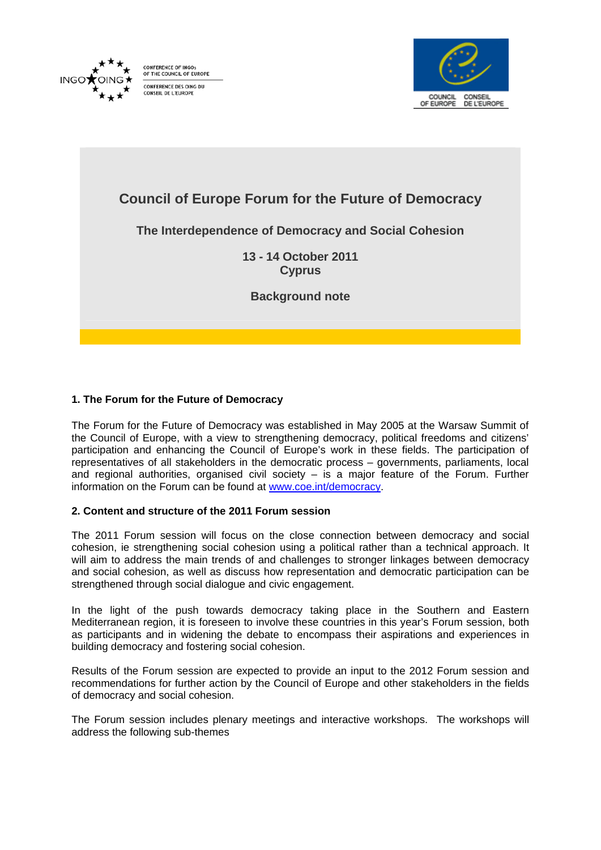

CONFERENCE OF INGO ON ENERGE OF INGOS CONFERENCE DES OING DU CONSEIL DE L'EUROPE



# **Council of Europe Forum for the Future of Democracy**

# **The Interdependence of Democracy and Social Cohesion**

**13 - 14 October 2011 Cyprus** 

**Background note** 

## **1. The Forum for the Future of Democracy**

The Forum for the Future of Democracy was established in May 2005 at the Warsaw Summit of the Council of Europe, with a view to strengthening democracy, political freedoms and citizens' participation and enhancing the Council of Europe's work in these fields. The participation of representatives of all stakeholders in the democratic process – governments, parliaments, local and regional authorities, organised civil society – is a major feature of the Forum. Further information on the Forum can be found at www.coe.int/democracy.

#### **2. Content and structure of the 2011 Forum session**

The 2011 Forum session will focus on the close connection between democracy and social cohesion, ie strengthening social cohesion using a political rather than a technical approach. It will aim to address the main trends of and challenges to stronger linkages between democracy and social cohesion, as well as discuss how representation and democratic participation can be strengthened through social dialogue and civic engagement.

In the light of the push towards democracy taking place in the Southern and Eastern Mediterranean region, it is foreseen to involve these countries in this year's Forum session, both as participants and in widening the debate to encompass their aspirations and experiences in building democracy and fostering social cohesion.

Results of the Forum session are expected to provide an input to the 2012 Forum session and recommendations for further action by the Council of Europe and other stakeholders in the fields of democracy and social cohesion.

The Forum session includes plenary meetings and interactive workshops. The workshops will address the following sub-themes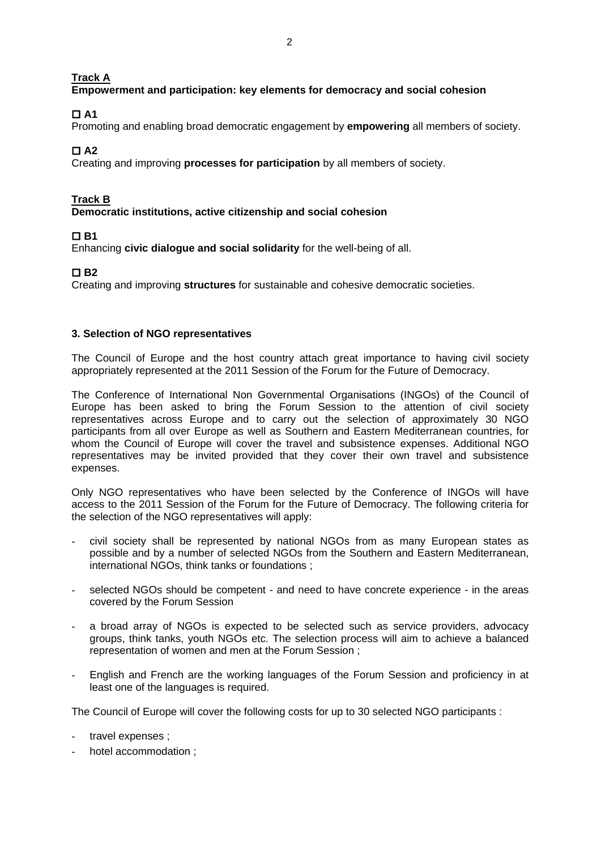**Track A** 

## **Empowerment and participation: key elements for democracy and social cohesion**

 $\Box$  A1

Promoting and enabling broad democratic engagement by **empowering** all members of society.

 **A2** 

Creating and improving **processes for participation** by all members of society.

### **Track B**

**Democratic institutions, active citizenship and social cohesion** 

## **B1**

Enhancing **civic dialogue and social solidarity** for the well-being of all.

## **D**B<sub>2</sub>

Creating and improving **structures** for sustainable and cohesive democratic societies.

#### **3. Selection of NGO representatives**

The Council of Europe and the host country attach great importance to having civil society appropriately represented at the 2011 Session of the Forum for the Future of Democracy.

The Conference of International Non Governmental Organisations (INGOs) of the Council of Europe has been asked to bring the Forum Session to the attention of civil society representatives across Europe and to carry out the selection of approximately 30 NGO participants from all over Europe as well as Southern and Eastern Mediterranean countries, for whom the Council of Europe will cover the travel and subsistence expenses. Additional NGO representatives may be invited provided that they cover their own travel and subsistence expenses.

Only NGO representatives who have been selected by the Conference of INGOs will have access to the 2011 Session of the Forum for the Future of Democracy. The following criteria for the selection of the NGO representatives will apply:

- civil society shall be represented by national NGOs from as many European states as possible and by a number of selected NGOs from the Southern and Eastern Mediterranean, international NGOs, think tanks or foundations ;
- selected NGOs should be competent and need to have concrete experience in the areas covered by the Forum Session
- a broad array of NGOs is expected to be selected such as service providers, advocacy groups, think tanks, youth NGOs etc. The selection process will aim to achieve a balanced representation of women and men at the Forum Session ;
- English and French are the working languages of the Forum Session and proficiency in at least one of the languages is required.

The Council of Europe will cover the following costs for up to 30 selected NGO participants :

- travel expenses :
- hotel accommodation :